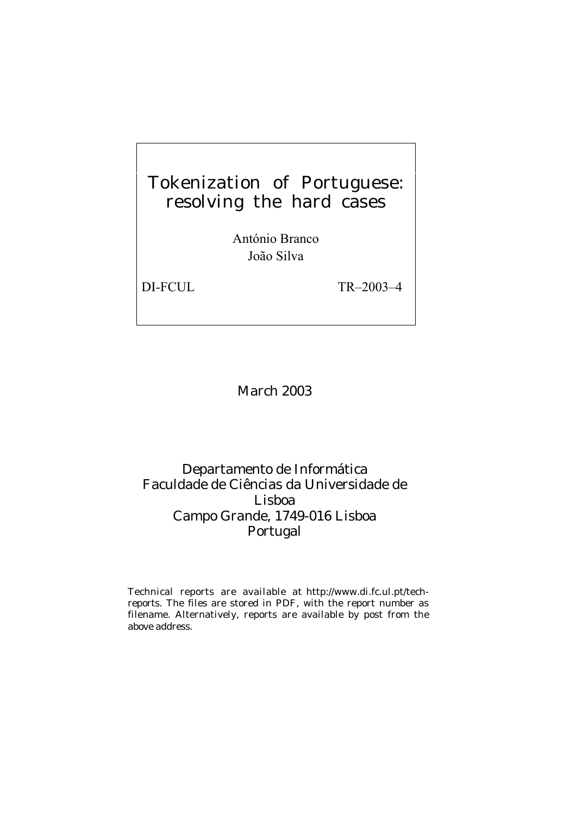# Tokenization of Portuguese: resolving the hard cases

António Branco João Silva

DI-FCUL TR–2003–4

### March 2003

## Departamento de Informática Faculdade de Ciências da Universidade de Lisboa Campo Grande, 1749-016 Lisboa Portugal

Technical reports are available at http://www.di.fc.ul.pt/techreports. The files are stored in PDF, with the report number as filename. Alternatively, reports are available by post from the above address.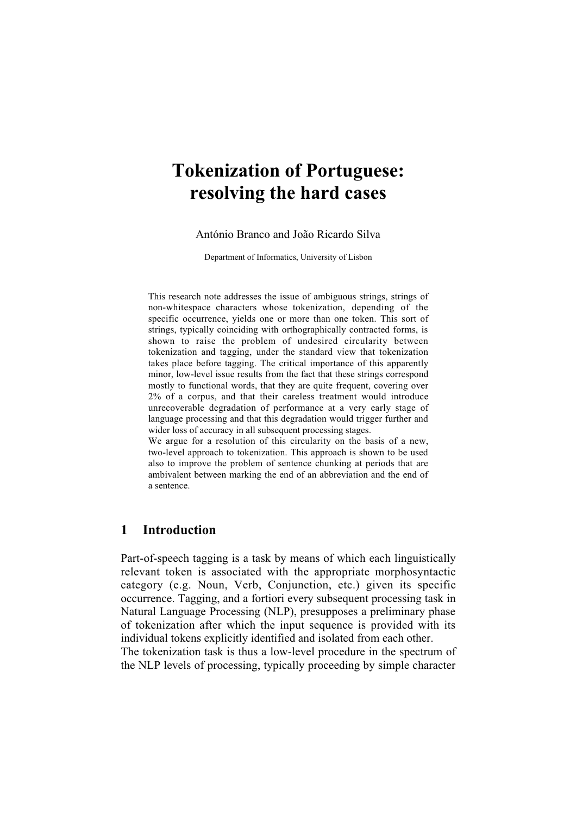## **Tokenization of Portuguese: resolving the hard cases**

António Branco and João Ricardo Silva

Department of Informatics, University of Lisbon

This research note addresses the issue of ambiguous strings, strings of non-whitespace characters whose tokenization, depending of the specific occurrence, yields one or more than one token. This sort of strings, typically coinciding with orthographically contracted forms, is shown to raise the problem of undesired circularity between tokenization and tagging, under the standard view that tokenization takes place before tagging. The critical importance of this apparently minor, low-level issue results from the fact that these strings correspond mostly to functional words, that they are quite frequent, covering over 2% of a corpus, and that their careless treatment would introduce unrecoverable degradation of performance at a very early stage of language processing and that this degradation would trigger further and wider loss of accuracy in all subsequent processing stages.

We argue for a resolution of this circularity on the basis of a new, two-level approach to tokenization. This approach is shown to be used also to improve the problem of sentence chunking at periods that are ambivalent between marking the end of an abbreviation and the end of a sentence.

#### **1 Introduction**

Part-of-speech tagging is a task by means of which each linguistically relevant token is associated with the appropriate morphosyntactic category (e.g. Noun, Verb, Conjunction, etc.) given its specific occurrence. Tagging, and a fortiori every subsequent processing task in Natural Language Processing (NLP), presupposes a preliminary phase of tokenization after which the input sequence is provided with its individual tokens explicitly identified and isolated from each other. The tokenization task is thus a low-level procedure in the spectrum of

the NLP levels of processing, typically proceeding by simple character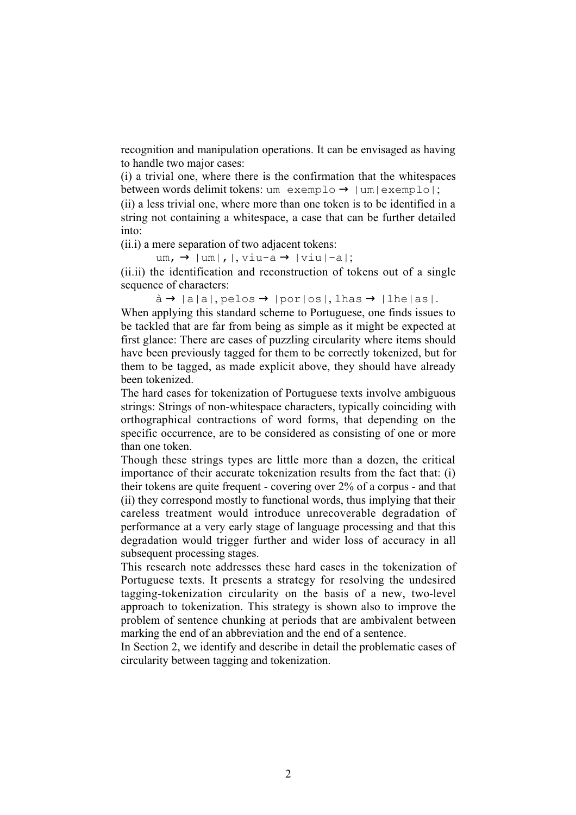recognition and manipulation operations. It can be envisaged as having to handle two major cases:

(i) a trivial one, where there is the confirmation that the whitespaces between words delimit tokens: um exemplo  $\rightarrow$  | um|exemplo|;

(ii) a less trivial one, where more than one token is to be identified in a string not containing a whitespace, a case that can be further detailed into:

(ii.i) a mere separation of two adjacent tokens:

um,  $\rightarrow$  |um|, |, viu-a  $\rightarrow$  |viu|-a|;

(ii.ii) the identification and reconstruction of tokens out of a single sequence of characters:

 $\hat{a} \rightarrow |a|a|$ , pelos  $\rightarrow |por|os|$ , lhas  $\rightarrow |lhe|as|$ .

When applying this standard scheme to Portuguese, one finds issues to be tackled that are far from being as simple as it might be expected at first glance: There are cases of puzzling circularity where items should have been previously tagged for them to be correctly tokenized, but for them to be tagged, as made explicit above, they should have already been tokenized.

The hard cases for tokenization of Portuguese texts involve ambiguous strings: Strings of non-whitespace characters, typically coinciding with orthographical contractions of word forms, that depending on the specific occurrence, are to be considered as consisting of one or more than one token.

Though these strings types are little more than a dozen, the critical importance of their accurate tokenization results from the fact that: (i) their tokens are quite frequent - covering over 2% of a corpus - and that (ii) they correspond mostly to functional words, thus implying that their careless treatment would introduce unrecoverable degradation of performance at a very early stage of language processing and that this degradation would trigger further and wider loss of accuracy in all subsequent processing stages.

This research note addresses these hard cases in the tokenization of Portuguese texts. It presents a strategy for resolving the undesired tagging-tokenization circularity on the basis of a new, two-level approach to tokenization. This strategy is shown also to improve the problem of sentence chunking at periods that are ambivalent between marking the end of an abbreviation and the end of a sentence.

In Section 2, we identify and describe in detail the problematic cases of circularity between tagging and tokenization.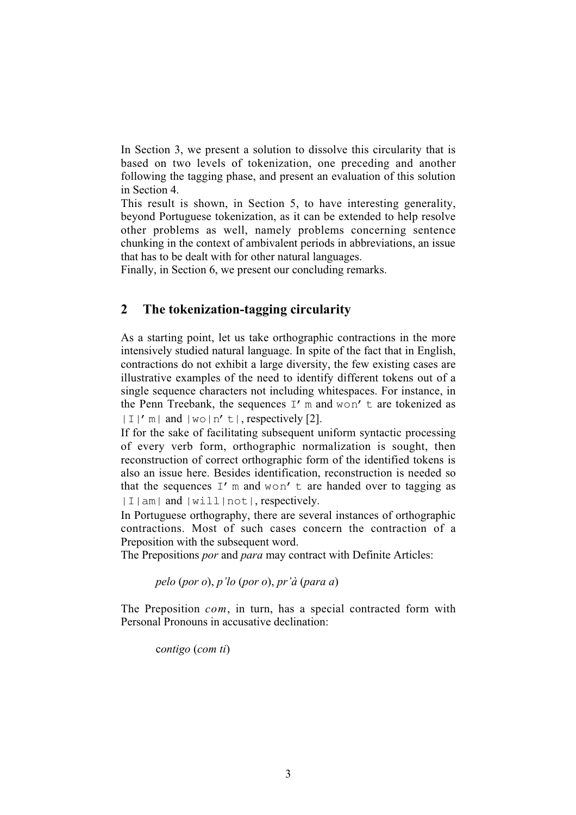In Section 3, we present a solution to dissolve this circularity that is based on two levels of tokenization, one preceding and another following the tagging phase, and present an evaluation of this solution in Section 4.

This result is shown, in Section 5, to have interesting generality, beyond Portuguese tokenization, as it can be extended to help resolve other problems as well, namely problems concerning sentence chunking in the context of ambivalent periods in abbreviations, an issue that has to be dealt with for other natural languages.

Finally, in Section 6, we present our concluding remarks.

#### **2 The tokenization-tagging circularity**

As a starting point, let us take orthographic contractions in the more intensively studied natural language. In spite of the fact that in English, contractions do not exhibit a large diversity, the few existing cases are illustrative examples of the need to identify different tokens out of a single sequence characters not including whitespaces. For instance, in the Penn Treebank, the sequences  $I'$  m and won't are tokenized as  $|I|'$  m | and  $|w \circ |n' \tvert$ , respectively [2].

If for the sake of facilitating subsequent uniform syntactic processing of every verb form, orthographic normalization is sought, then reconstruction of correct orthographic form of the identified tokens is also an issue here. Besides identification, reconstruction is needed so that the sequences  $I'$  m and won't are handed over to tagging as |I|am| and |will|not|, respectively.

In Portuguese orthography, there are several instances of orthographic contractions. Most of such cases concern the contraction of a Preposition with the subsequent word.

The Prepositions *por* and *para* may contract with Definite Articles:

*pelo* (*por o*), *p'lo* (*por o*), *pr'à* (*para a*)

The Preposition *com*, in turn, has a special contracted form with Personal Pronouns in accusative declination:

c*ontigo* (*com ti*)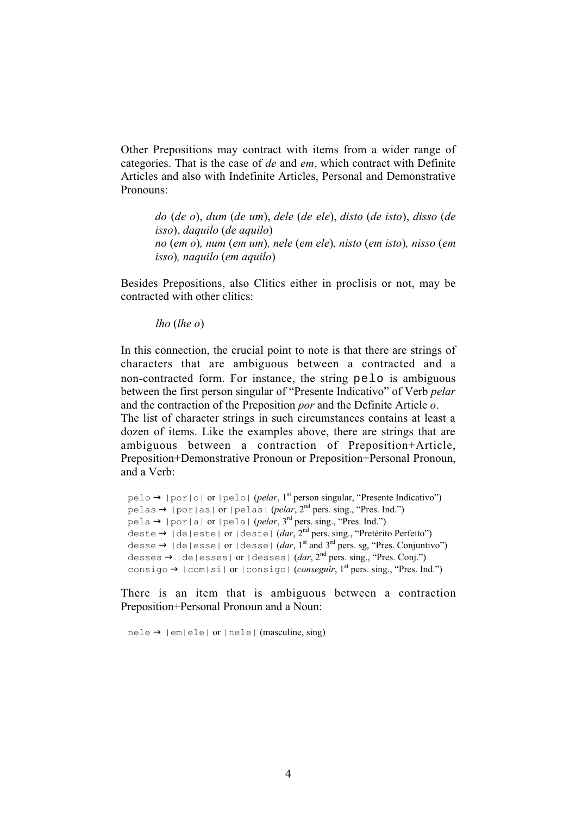Other Prepositions may contract with items from a wider range of categories. That is the case of *de* and *em*, which contract with Definite Articles and also with Indefinite Articles, Personal and Demonstrative Pronouns:

*do* (*de o*), *dum* (*de um*), *dele* (*de ele*), *disto* (*de isto*), *disso* (*de isso*), *daquilo* (*de aquilo*) *no* (*em o*)*, num* (*em um*)*, nele* (*em ele*)*, nisto* (*em isto*)*, nisso* (*em isso*)*, naquilo* (*em aquilo*)

Besides Prepositions, also Clitics either in proclisis or not, may be contracted with other clitics:

*lho* (*lhe o*)

In this connection, the crucial point to note is that there are strings of characters that are ambiguous between a contracted and a non-contracted form. For instance, the string pelo is ambiguous between the first person singular of "Presente Indicativo" of Verb *pelar* and the contraction of the Preposition *por* and the Definite Article *o*. The list of character strings in such circumstances contains at least a dozen of items. Like the examples above, there are strings that are ambiguous between a contraction of Preposition+Article, Preposition+Demonstrative Pronoun or Preposition+Personal Pronoun, and a Verb:

```
pelo → |por|o| or |pelo| (pelar, 1<sup>st</sup> person singular, "Presente Indicativo")
pelas → |por|as| or |pelas| (pelar, 2nd pers. sing., "Pres. Ind.")
pela \rightarrow |por|a| or |pela| (pelar, 3<sup>rd</sup> pers. sing., "Pres. Ind.")
deste → |de|este| or |deste| (dar, 2nd pers. sing., "Pretérito Perfeito")
desse \rightarrow |de|esse| or |desse| (dar, 1<sup>st</sup> and 3<sup>rd</sup> pers. sg, "Pres. Conjuntivo")
desses \rightarrow |de|esses| or |desses| (dar, 2<sup>nd</sup> pers, sing, "Pres, Coni.")consigo \rightarrow |com|si| or |consigo| (conseguir, 1<sup>st</sup> pers. sing., "Pres. Ind.")
```
There is an item that is ambiguous between a contraction Preposition+Personal Pronoun and a Noun:

 $nele \rightarrow |em|ele|$  or  $|nele|$  (masculine, sing)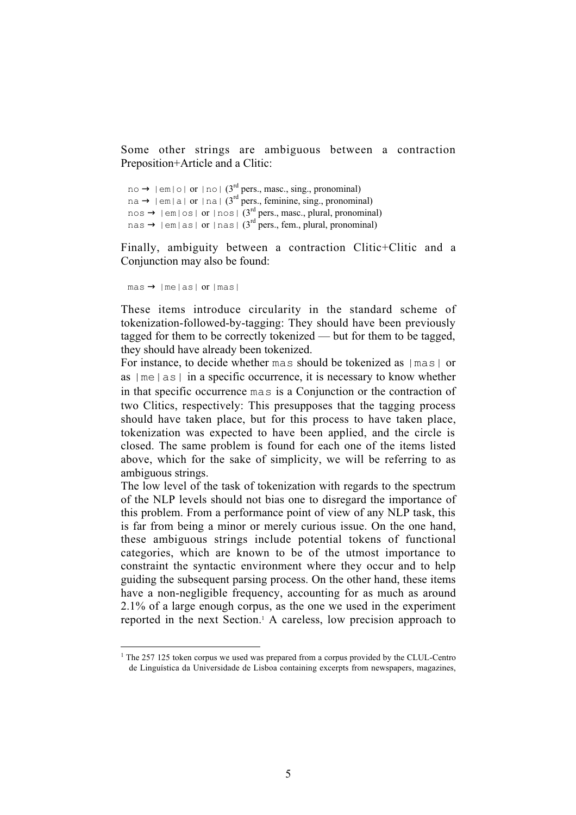Some other strings are ambiguous between a contraction Preposition+Article and a Clitic:

```
no \rightarrow |em|o| or |no| (3<sup>rd</sup> pers., masc., sing., pronominal)
na \rightarrow |em|a| or |na| (3<sup>rd</sup> pers., feminine, sing., pronominal)
nos \rightarrow |em|os| or |nos| (3<sup>rd</sup> pers., masc., plural, pronominal)
nas \rightarrow |em|as| or |nas| (3<sup>rd</sup> pers., fem., plural, pronominal)
```
Finally, ambiguity between a contraction Clitic+Clitic and a Conjunction may also be found:

```
\text{mas} \rightarrow \text{Imelas} or \text{Imas}
```
These items introduce circularity in the standard scheme of tokenization-followed-by-tagging: They should have been previously tagged for them to be correctly tokenized — but for them to be tagged, they should have already been tokenized.

For instance, to decide whether mas should be tokenized as  $|\text{mas}|$  or as  $|m = |as|$  in a specific occurrence, it is necessary to know whether in that specific occurrence mas is a Conjunction or the contraction of two Clitics, respectively: This presupposes that the tagging process should have taken place, but for this process to have taken place, tokenization was expected to have been applied, and the circle is closed. The same problem is found for each one of the items listed above, which for the sake of simplicity, we will be referring to as ambiguous strings.

The low level of the task of tokenization with regards to the spectrum of the NLP levels should not bias one to disregard the importance of this problem. From a performance point of view of any NLP task, this is far from being a minor or merely curious issue. On the one hand, these ambiguous strings include potential tokens of functional categories, which are known to be of the utmost importance to constraint the syntactic environment where they occur and to help guiding the subsequent parsing process. On the other hand, these items have a non-negligible frequency, accounting for as much as around 2.1% of a large enough corpus, as the one we used in the experiment reported in the next Section.<sup>1</sup> A careless, low precision approach to

 $\overline{1}$  $1$ <sup>1</sup> The 257 125 token corpus we used was prepared from a corpus provided by the CLUL-Centro de Linguística da Universidade de Lisboa containing excerpts from newspapers, magazines,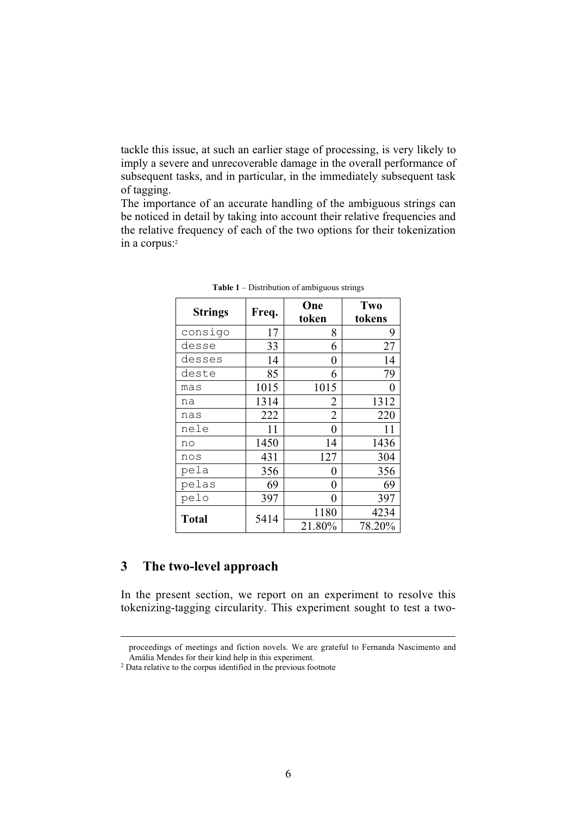tackle this issue, at such an earlier stage of processing, is very likely to imply a severe and unrecoverable damage in the overall performance of subsequent tasks, and in particular, in the immediately subsequent task of tagging.

The importance of an accurate handling of the ambiguous strings can be noticed in detail by taking into account their relative frequencies and the relative frequency of each of the two options for their tokenization in a corpus:<sup>2</sup>

| <b>Strings</b> | Freq. | One    | Two    |
|----------------|-------|--------|--------|
|                |       | token  | tokens |
| consigo        | 17    | 8      | 9      |
| desse          | 33    | 6      | 27     |
| desses         | 14    | 0      | 14     |
| deste          | 85    | 6      | 79     |
| mas            | 1015  | 1015   | 0      |
| na             | 1314  | 2      | 1312   |
| nas            | 222   | 2      | 220    |
| nele           | 11    | 0      | 11     |
| no             | 1450  | 14     | 1436   |
| nos            | 431   | 127    | 304    |
| pela           | 356   | 0      | 356    |
| pelas          | 69    | 0      | 69     |
| pelo           | 397   | 0      | 397    |
| <b>Total</b>   | 5414  | 1180   | 4234   |
|                |       | 21.80% | 78.20% |

**Table 1** – Distribution of ambiguous strings

#### **3 The two-level approach**

In the present section, we report on an experiment to resolve this tokenizing-tagging circularity. This experiment sought to test a two-

proceedings of meetings and fiction novels. We are grateful to Fernanda Nascimento and Amália Mendes for their kind help in this experiment.

<sup>2</sup> Data relative to the corpus identified in the previous footnote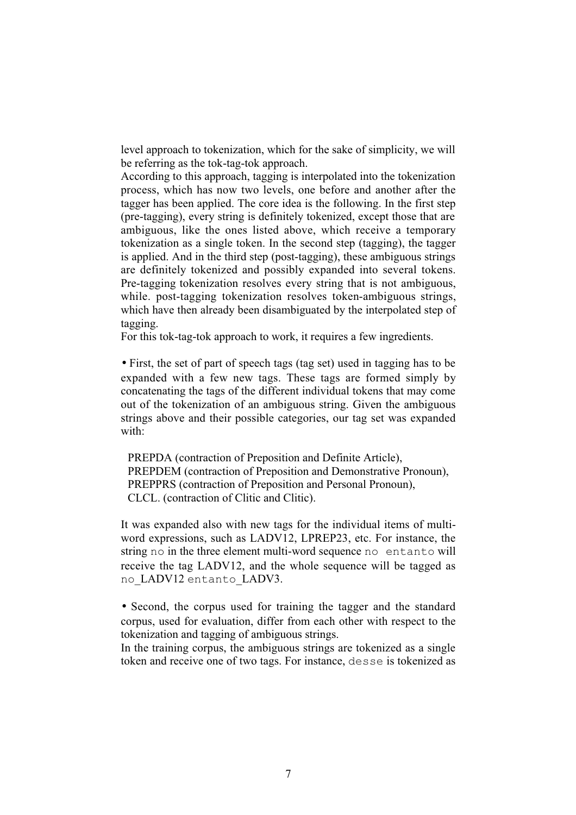level approach to tokenization, which for the sake of simplicity, we will be referring as the tok-tag-tok approach.

According to this approach, tagging is interpolated into the tokenization process, which has now two levels, one before and another after the tagger has been applied. The core idea is the following. In the first step (pre-tagging), every string is definitely tokenized, except those that are ambiguous, like the ones listed above, which receive a temporary tokenization as a single token. In the second step (tagging), the tagger is applied. And in the third step (post-tagging), these ambiguous strings are definitely tokenized and possibly expanded into several tokens. Pre-tagging tokenization resolves every string that is not ambiguous, while. post-tagging tokenization resolves token-ambiguous strings, which have then already been disambiguated by the interpolated step of tagging.

For this tok-tag-tok approach to work, it requires a few ingredients.

• First, the set of part of speech tags (tag set) used in tagging has to be expanded with a few new tags. These tags are formed simply by concatenating the tags of the different individual tokens that may come out of the tokenization of an ambiguous string. Given the ambiguous strings above and their possible categories, our tag set was expanded with:

PREPDA (contraction of Preposition and Definite Article), PREPDEM (contraction of Preposition and Demonstrative Pronoun), PREPPRS (contraction of Preposition and Personal Pronoun), CLCL. (contraction of Clitic and Clitic).

It was expanded also with new tags for the individual items of multiword expressions, such as LADV12, LPREP23, etc. For instance, the string no in the three element multi-word sequence no entanto will receive the tag LADV12, and the whole sequence will be tagged as no LADV12 entanto LADV3.

• Second, the corpus used for training the tagger and the standard corpus, used for evaluation, differ from each other with respect to the tokenization and tagging of ambiguous strings.

In the training corpus, the ambiguous strings are tokenized as a single token and receive one of two tags. For instance, desse is tokenized as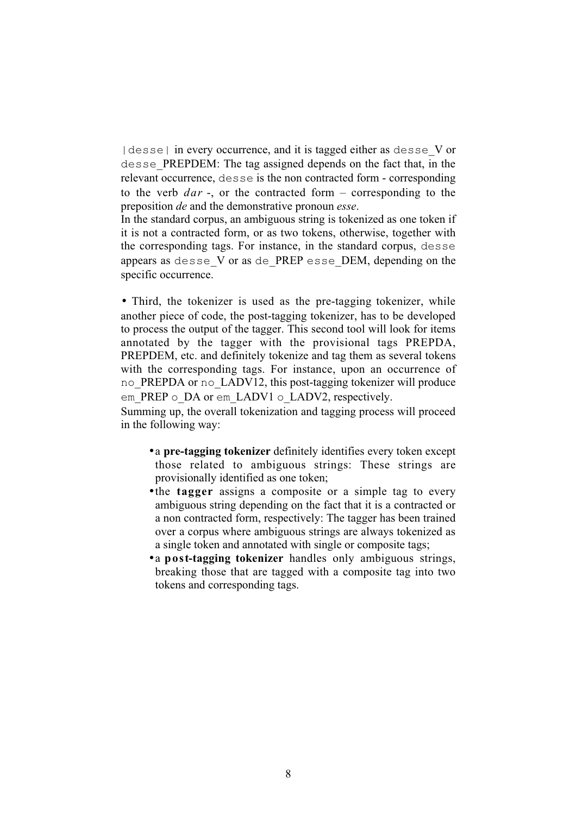|desse| in every occurrence, and it is tagged either as desse\_V or desse\_PREPDEM: The tag assigned depends on the fact that, in the relevant occurrence, desse is the non contracted form - corresponding to the verb *dar* -, or the contracted form – corresponding to the preposition *de* and the demonstrative pronoun *esse*.

In the standard corpus, an ambiguous string is tokenized as one token if it is not a contracted form, or as two tokens, otherwise, together with the corresponding tags. For instance, in the standard corpus, desse appears as desse\_V or as de*\_*PREP esse\_DEM, depending on the specific occurrence.

• Third, the tokenizer is used as the pre-tagging tokenizer, while another piece of code, the post-tagging tokenizer, has to be developed to process the output of the tagger. This second tool will look for items annotated by the tagger with the provisional tags PREPDA, PREPDEM, etc. and definitely tokenize and tag them as several tokens with the corresponding tags. For instance, upon an occurrence of no PREPDA or no LADV12, this post-tagging tokenizer will produce em PREP o DA or em LADV1 o LADV2, respectively.

Summing up, the overall tokenization and tagging process will proceed in the following way:

- a **pre-tagging tokenizer** definitely identifies every token except those related to ambiguous strings: These strings are provisionally identified as one token;
- the **tagger** assigns a composite or a simple tag to every ambiguous string depending on the fact that it is a contracted or a non contracted form, respectively: The tagger has been trained over a corpus where ambiguous strings are always tokenized as a single token and annotated with single or composite tags;
- a **post-tagging tokenizer** handles only ambiguous strings, breaking those that are tagged with a composite tag into two tokens and corresponding tags.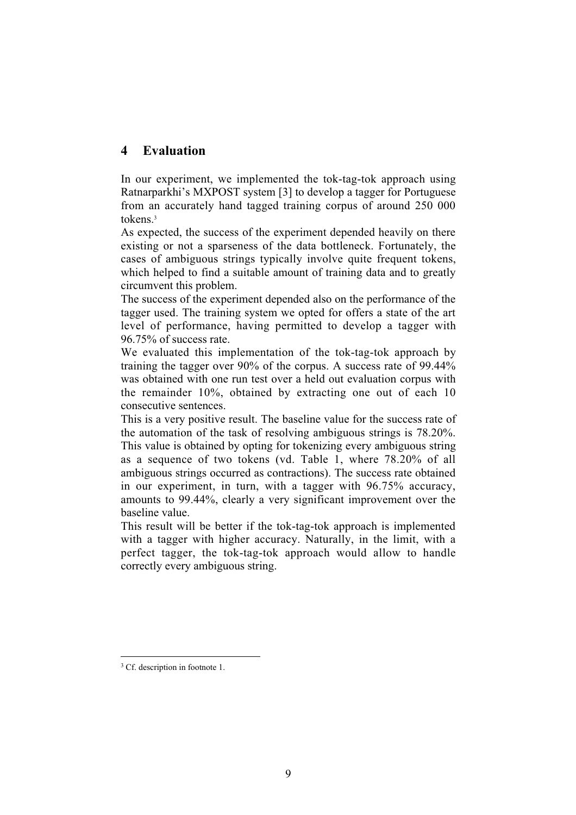#### **4 Evaluation**

In our experiment, we implemented the tok-tag-tok approach using Ratnarparkhi's MXPOST system [3] to develop a tagger for Portuguese from an accurately hand tagged training corpus of around 250 000 tokens<sup>3</sup>

As expected, the success of the experiment depended heavily on there existing or not a sparseness of the data bottleneck. Fortunately, the cases of ambiguous strings typically involve quite frequent tokens, which helped to find a suitable amount of training data and to greatly circumvent this problem.

The success of the experiment depended also on the performance of the tagger used. The training system we opted for offers a state of the art level of performance, having permitted to develop a tagger with 96.75% of success rate.

We evaluated this implementation of the tok-tag-tok approach by training the tagger over 90% of the corpus. A success rate of 99.44% was obtained with one run test over a held out evaluation corpus with the remainder 10%, obtained by extracting one out of each 10 consecutive sentences.

This is a very positive result. The baseline value for the success rate of the automation of the task of resolving ambiguous strings is 78.20%. This value is obtained by opting for tokenizing every ambiguous string as a sequence of two tokens (vd. Table 1, where 78.20% of all ambiguous strings occurred as contractions). The success rate obtained in our experiment, in turn, with a tagger with 96.75% accuracy, amounts to 99.44%, clearly a very significant improvement over the baseline value.

This result will be better if the tok-tag-tok approach is implemented with a tagger with higher accuracy. Naturally, in the limit, with a perfect tagger, the tok-tag-tok approach would allow to handle correctly every ambiguous string.

<sup>&</sup>lt;sup>2</sup><br>3 <sup>3</sup> Cf. description in footnote 1.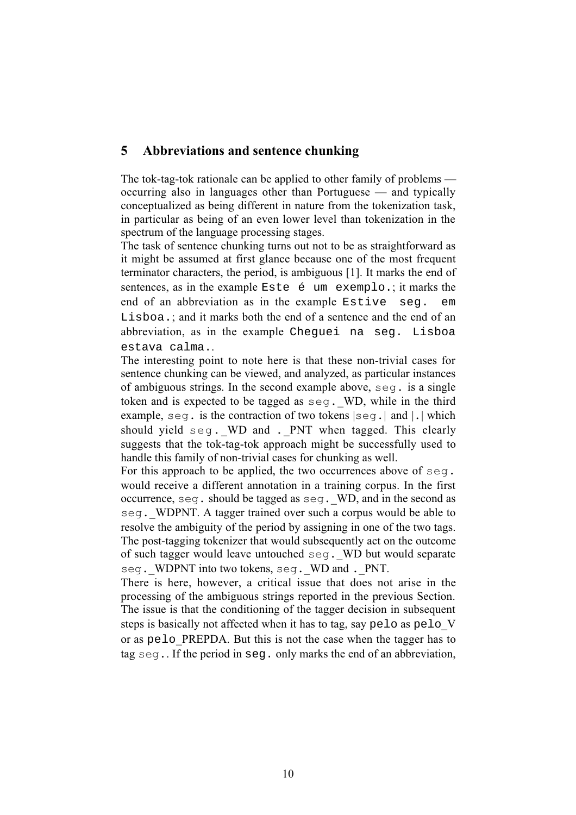#### **5 Abbreviations and sentence chunking**

The tok-tag-tok rationale can be applied to other family of problems occurring also in languages other than Portuguese — and typically conceptualized as being different in nature from the tokenization task, in particular as being of an even lower level than tokenization in the spectrum of the language processing stages.

The task of sentence chunking turns out not to be as straightforward as it might be assumed at first glance because one of the most frequent terminator characters, the period, is ambiguous [1]. It marks the end of sentences, as in the example Este é um exemplo.; it marks the end of an abbreviation as in the example Estive seg. em Lisboa.; and it marks both the end of a sentence and the end of an abbreviation, as in the example Cheguei na seg. Lisboa estava calma..

The interesting point to note here is that these non-trivial cases for sentence chunking can be viewed, and analyzed, as particular instances of ambiguous strings. In the second example above, seg. is a single token and is expected to be tagged as  $seg.$  WD, while in the third example, seg. is the contraction of two tokens |seg.*|* and |.| which should yield seg. WD and . PNT when tagged. This clearly suggests that the tok-tag-tok approach might be successfully used to handle this family of non-trivial cases for chunking as well.

For this approach to be applied, the two occurrences above of seg. would receive a different annotation in a training corpus. In the first occurrence, seg. should be tagged as seg.*\_*WD, and in the second as seq. WDPNT. A tagger trained over such a corpus would be able to resolve the ambiguity of the period by assigning in one of the two tags. The post-tagging tokenizer that would subsequently act on the outcome of such tagger would leave untouched seg.\_WD but would separate seg. WDPNT into two tokens, seg. WD and . PNT.

There is here, however, a critical issue that does not arise in the processing of the ambiguous strings reported in the previous Section. The issue is that the conditioning of the tagger decision in subsequent steps is basically not affected when it has to tag, say pelo as pelo V or as pelo\_PREPDA. But this is not the case when the tagger has to tag seg.. If the period in seg. only marks the end of an abbreviation,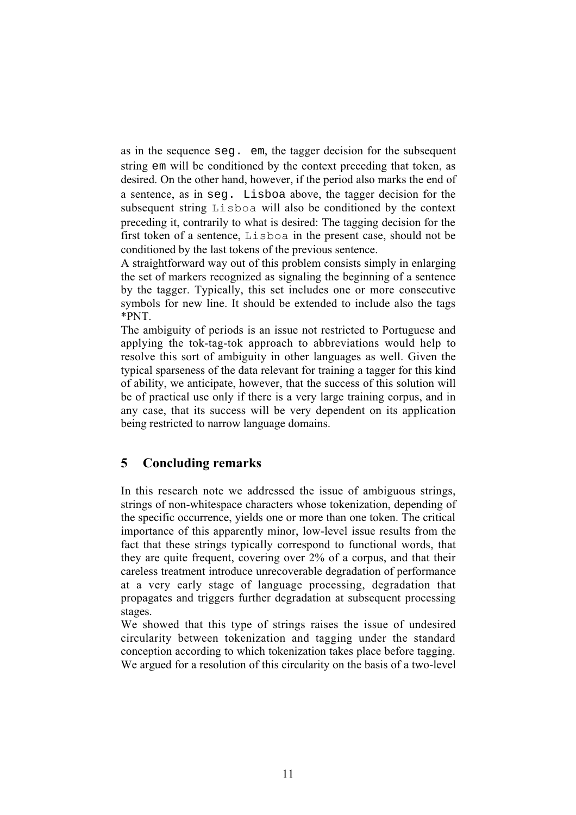as in the sequence seg. em, the tagger decision for the subsequent string em will be conditioned by the context preceding that token, as desired. On the other hand, however, if the period also marks the end of a sentence, as in seg. Lisboa above, the tagger decision for the subsequent string Lisboa will also be conditioned by the context preceding it, contrarily to what is desired: The tagging decision for the first token of a sentence, Lisboa in the present case, should not be conditioned by the last tokens of the previous sentence.

A straightforward way out of this problem consists simply in enlarging the set of markers recognized as signaling the beginning of a sentence by the tagger. Typically, this set includes one or more consecutive symbols for new line. It should be extended to include also the tags \*PNT.

The ambiguity of periods is an issue not restricted to Portuguese and applying the tok-tag-tok approach to abbreviations would help to resolve this sort of ambiguity in other languages as well. Given the typical sparseness of the data relevant for training a tagger for this kind of ability, we anticipate, however, that the success of this solution will be of practical use only if there is a very large training corpus, and in any case, that its success will be very dependent on its application being restricted to narrow language domains.

#### **5 Concluding remarks**

In this research note we addressed the issue of ambiguous strings, strings of non-whitespace characters whose tokenization, depending of the specific occurrence, yields one or more than one token. The critical importance of this apparently minor, low-level issue results from the fact that these strings typically correspond to functional words, that they are quite frequent, covering over 2% of a corpus, and that their careless treatment introduce unrecoverable degradation of performance at a very early stage of language processing, degradation that propagates and triggers further degradation at subsequent processing stages.

We showed that this type of strings raises the issue of undesired circularity between tokenization and tagging under the standard conception according to which tokenization takes place before tagging. We argued for a resolution of this circularity on the basis of a two-level